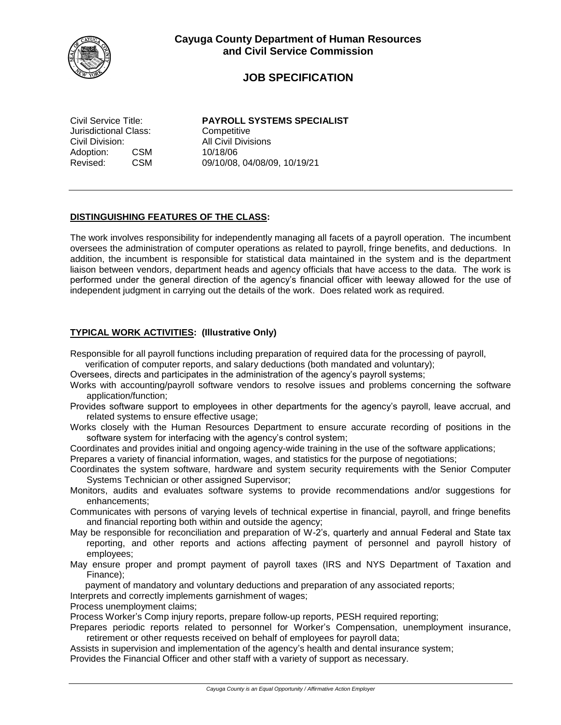

# **JOB SPECIFICATION**

Jurisdictional Class: Competitive Civil Division: All Civil Divisions Adoption: CSM 10/18/06<br>Revised: CSM 09/10/08.

Civil Service Title: **PAYROLL SYSTEMS SPECIALIST** CSM 09/10/08, 04/08/09, 10/19/21

### **DISTINGUISHING FEATURES OF THE CLASS:**

The work involves responsibility for independently managing all facets of a payroll operation. The incumbent oversees the administration of computer operations as related to payroll, fringe benefits, and deductions. In addition, the incumbent is responsible for statistical data maintained in the system and is the department liaison between vendors, department heads and agency officials that have access to the data. The work is performed under the general direction of the agency's financial officer with leeway allowed for the use of independent judgment in carrying out the details of the work. Does related work as required.

## **TYPICAL WORK ACTIVITIES: (Illustrative Only)**

Responsible for all payroll functions including preparation of required data for the processing of payroll,

verification of computer reports, and salary deductions (both mandated and voluntary);

Oversees, directs and participates in the administration of the agency's payroll systems;

- Works with accounting/payroll software vendors to resolve issues and problems concerning the software application/function;
- Provides software support to employees in other departments for the agency's payroll, leave accrual, and related systems to ensure effective usage;
- Works closely with the Human Resources Department to ensure accurate recording of positions in the software system for interfacing with the agency's control system;
- Coordinates and provides initial and ongoing agency-wide training in the use of the software applications;

Prepares a variety of financial information, wages, and statistics for the purpose of negotiations;

- Coordinates the system software, hardware and system security requirements with the Senior Computer Systems Technician or other assigned Supervisor;
- Monitors, audits and evaluates software systems to provide recommendations and/or suggestions for enhancements;
- Communicates with persons of varying levels of technical expertise in financial, payroll, and fringe benefits and financial reporting both within and outside the agency;
- May be responsible for reconciliation and preparation of W-2's, quarterly and annual Federal and State tax reporting, and other reports and actions affecting payment of personnel and payroll history of employees;
- May ensure proper and prompt payment of payroll taxes (IRS and NYS Department of Taxation and Finance);

payment of mandatory and voluntary deductions and preparation of any associated reports;

Interprets and correctly implements garnishment of wages;

Process unemployment claims;

Process Worker's Comp injury reports, prepare follow-up reports, PESH required reporting;

- Prepares periodic reports related to personnel for Worker's Compensation, unemployment insurance, retirement or other requests received on behalf of employees for payroll data;
- Assists in supervision and implementation of the agency's health and dental insurance system; Provides the Financial Officer and other staff with a variety of support as necessary.